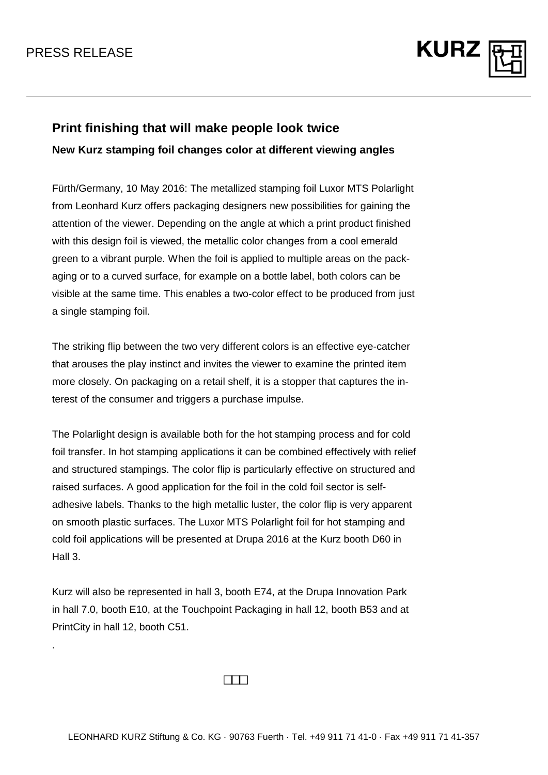.



## **Print finishing that will make people look twice**

**New Kurz stamping foil changes color at different viewing angles**

Fürth/Germany, 10 May 2016: The metallized stamping foil Luxor MTS Polarlight from Leonhard Kurz offers packaging designers new possibilities for gaining the attention of the viewer. Depending on the angle at which a print product finished with this design foil is viewed, the metallic color changes from a cool emerald green to a vibrant purple. When the foil is applied to multiple areas on the packaging or to a curved surface, for example on a bottle label, both colors can be visible at the same time. This enables a two-color effect to be produced from just a single stamping foil.

The striking flip between the two very different colors is an effective eye-catcher that arouses the play instinct and invites the viewer to examine the printed item more closely. On packaging on a retail shelf, it is a stopper that captures the interest of the consumer and triggers a purchase impulse.

The Polarlight design is available both for the hot stamping process and for cold foil transfer. In hot stamping applications it can be combined effectively with relief and structured stampings. The color flip is particularly effective on structured and raised surfaces. A good application for the foil in the cold foil sector is selfadhesive labels. Thanks to the high metallic luster, the color flip is very apparent on smooth plastic surfaces. The Luxor MTS Polarlight foil for hot stamping and cold foil applications will be presented at Drupa 2016 at the Kurz booth D60 in Hall 3.

Kurz will also be represented in hall 3, booth E74, at the Drupa Innovation Park in hall 7.0, booth E10, at the Touchpoint Packaging in hall 12, booth B53 and at PrintCity in hall 12, booth C51.

 $\Box$